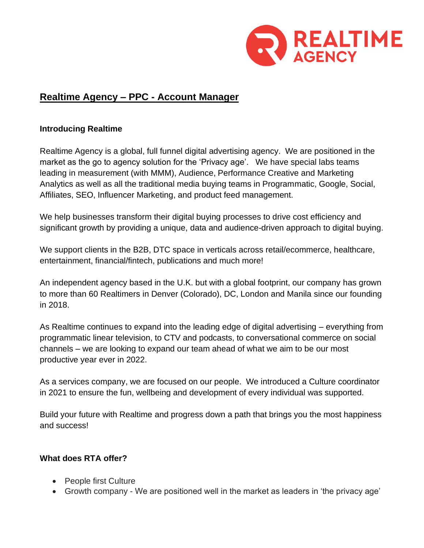

# **Realtime Agency – PPC - Account Manager**

### **Introducing Realtime**

Realtime Agency is a global, full funnel digital advertising agency. We are positioned in the market as the go to agency solution for the 'Privacy age'. We have special labs teams leading in measurement (with MMM), Audience, Performance Creative and Marketing Analytics as well as all the traditional media buying teams in Programmatic, Google, Social, Affiliates, SEO, Influencer Marketing, and product feed management.

We help businesses transform their digital buying processes to drive cost efficiency and significant growth by providing a unique, data and audience-driven approach to digital buying.

We support clients in the B2B, DTC space in verticals across retail/ecommerce, healthcare, entertainment, financial/fintech, publications and much more!

An independent agency based in the U.K. but with a global footprint, our company has grown to more than 60 Realtimers in Denver (Colorado), DC, London and Manila since our founding in 2018.

As Realtime continues to expand into the leading edge of digital advertising – everything from programmatic linear television, to CTV and podcasts, to conversational commerce on social channels – we are looking to expand our team ahead of what we aim to be our most productive year ever in 2022.

As a services company, we are focused on our people. We introduced a Culture coordinator in 2021 to ensure the fun, wellbeing and development of every individual was supported.

Build your future with Realtime and progress down a path that brings you the most happiness and success!

## **What does RTA offer?**

- People first Culture
- Growth company We are positioned well in the market as leaders in 'the privacy age'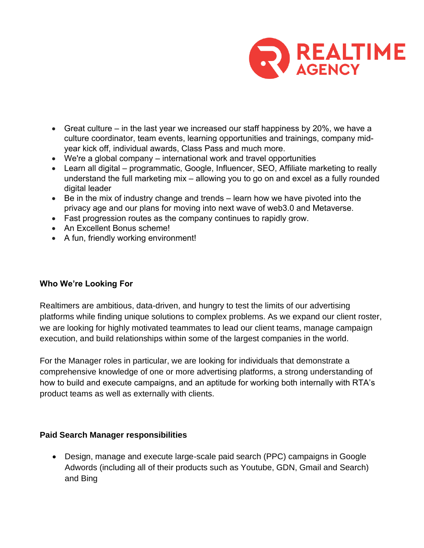

- Great culture in the last year we increased our staff happiness by 20%, we have a culture coordinator, team events, learning opportunities and trainings, company midyear kick off, individual awards, Class Pass and much more.
- We're a global company international work and travel opportunities
- Learn all digital programmatic, Google, Influencer, SEO, Affiliate marketing to really understand the full marketing mix – allowing you to go on and excel as a fully rounded digital leader
- Be in the mix of industry change and trends learn how we have pivoted into the privacy age and our plans for moving into next wave of web3.0 and Metaverse.
- Fast progression routes as the company continues to rapidly grow.
- An Excellent Bonus scheme!
- A fun, friendly working environment!

#### **Who We're Looking For**

Realtimers are ambitious, data-driven, and hungry to test the limits of our advertising platforms while finding unique solutions to complex problems. As we expand our client roster, we are looking for highly motivated teammates to lead our client teams, manage campaign execution, and build relationships within some of the largest companies in the world.

For the Manager roles in particular, we are looking for individuals that demonstrate a comprehensive knowledge of one or more advertising platforms, a strong understanding of how to build and execute campaigns, and an aptitude for working both internally with RTA's product teams as well as externally with clients.

#### **Paid Search Manager responsibilities**

• Design, manage and execute large-scale paid search (PPC) campaigns in Google Adwords (including all of their products such as Youtube, GDN, Gmail and Search) and Bing